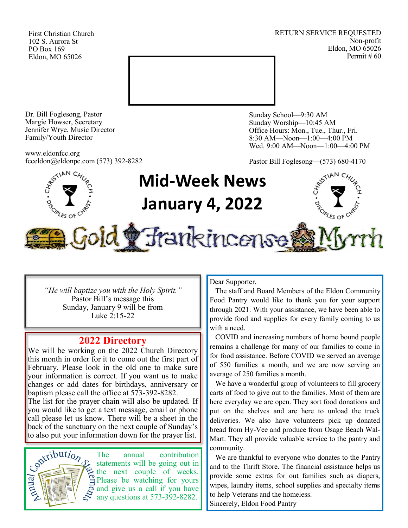First Christian Church 102 S. Aurora St PO Box 169 Eldon, MO 65026

RETURN SERVICE REQUESTED Non-profit Eldon, MO 65026 Permit # 60



Dr. Bill Foglesong, Pastor Margie Howser, Secretary Jennifer Wrye, Music Director Family/Youth Director

www.eldonfcc.org fcceldon@eldonpc.com (573) 392-8282 Sunday School—9:30 AM Sunday Worship—10:45 AM Office Hours: Mon., Tue., Thur., Fri. 8:30 AM—Noon—1:00—4:00 PM Wed. 9:00 AM—Noon—1:00—4:00 PM

Pastor Bill Foglesong—(573) 680-4170



# **Mid-Week News January 4, 2022**

**Trankincense** 



*"He will baptize you with the Holy Spirit."* Pastor Bill's message this Sunday, January 9 will be from Luke 2:15-22

# **2022 Directory**

We will be working on the 2022 Church Directory this month in order for it to come out the first part of February. Please look in the old one to make sure your information is correct. If you want us to make changes or add dates for birthdays, anniversary or baptism please call the office at 573-392-8282.

The list for the prayer chain will also be updated. If you would like to get a text message, email or phone call please let us know. There will be a sheet in the back of the sanctuary on the next couple of Sunday's to also put your information down for the prayer list.



Dear Supporter,

 The staff and Board Members of the Eldon Community Food Pantry would like to thank you for your support through 2021. With your assistance, we have been able to provide food and supplies for every family coming to us with a need.

 COVID and increasing numbers of home bound people remains a challenge for many of our families to come in for food assistance. Before COVID we served an average of 550 families a month, and we are now serving an average of 250 families a month.

 We have a wonderful group of volunteers to fill grocery carts of food to give out to the families. Most of them are here everyday we are open. They sort food donations and put on the shelves and are here to unload the truck deliveries. We also have volunteers pick up donated bread from Hy-Vee and produce from Osage Beach Wal-Mart. They all provide valuable service to the pantry and community.

 We are thankful to everyone who donates to the Pantry and to the Thrift Store. The financial assistance helps us provide some extras for out families such as diapers, wipes, laundry items, school supplies and specialty items to help Veterans and the homeless. Sincerely, Eldon Food Pantry